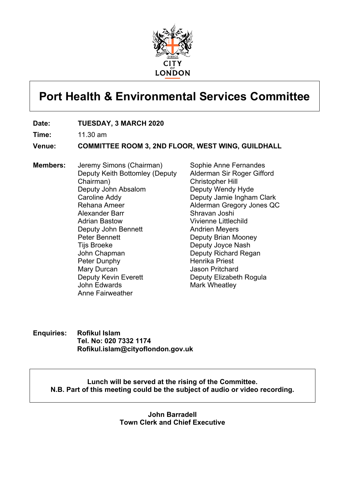

# **Port Health & Environmental Services Committee**

- **Date: TUESDAY, 3 MARCH 2020**
- **Time:** 11.30 am

**Venue: COMMITTEE ROOM 3, 2ND FLOOR, WEST WING, GUILDHALL**

**Members:** Jeremy Simons (Chairman) Deputy Keith Bottomley (Deputy Chairman) Deputy John Absalom Caroline Addy Rehana Ameer Alexander Barr Adrian Bastow Deputy John Bennett Peter Bennett Tijs Broeke John Chapman Peter Dunphy Mary Durcan Deputy Kevin Everett John Edwards Anne Fairweather

Sophie Anne Fernandes Alderman Sir Roger Gifford Christopher Hill Deputy Wendy Hyde Deputy Jamie Ingham Clark Alderman Gregory Jones QC Shravan Joshi Vivienne Littlechild Andrien Meyers Deputy Brian Mooney Deputy Joyce Nash Deputy Richard Regan Henrika Priest Jason Pritchard Deputy Elizabeth Rogula Mark Wheatley

**Enquiries: Rofikul Islam Tel. No: 020 7332 1174 Rofikul.islam@cityoflondon.gov.uk**

> **Lunch will be served at the rising of the Committee. N.B. Part of this meeting could be the subject of audio or video recording.**

> > **John Barradell Town Clerk and Chief Executive**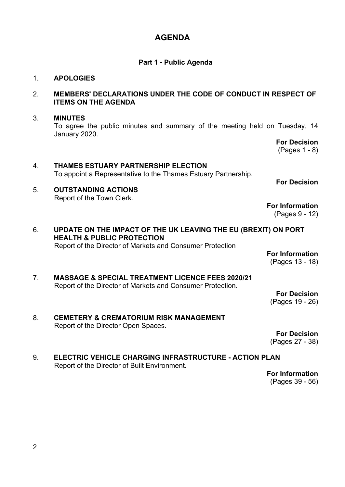### **AGENDA**

#### **Part 1 - Public Agenda**

#### 1. **APOLOGIES**

#### 2. **MEMBERS' DECLARATIONS UNDER THE CODE OF CONDUCT IN RESPECT OF ITEMS ON THE AGENDA**

#### 3. **MINUTES**

To agree the public minutes and summary of the meeting held on Tuesday, 14 January 2020.

## 4. **THAMES ESTUARY PARTNERSHIP ELECTION** To appoint a Representative to the Thames Estuary Partnership.

- 5. **OUTSTANDING ACTIONS** Report of the Town Clerk.
- 6. **UPDATE ON THE IMPACT OF THE UK LEAVING THE EU (BREXIT) ON PORT HEALTH & PUBLIC PROTECTION**

Report of the Director of Markets and Consumer Protection

#### **For Information** (Pages 13 - 18)

**For Decision** (Pages 1 - 8)

**For Decision**

**For Information** (Pages 9 - 12)

7. **MASSAGE & SPECIAL TREATMENT LICENCE FEES 2020/21** Report of the Director of Markets and Consumer Protection.

**For Decision** (Pages 19 - 26)

8. **CEMETERY & CREMATORIUM RISK MANAGEMENT** Report of the Director Open Spaces.

**For Decision** (Pages 27 - 38)

9. **ELECTRIC VEHICLE CHARGING INFRASTRUCTURE - ACTION PLAN** Report of the Director of Built Environment.

**For Information** (Pages 39 - 56)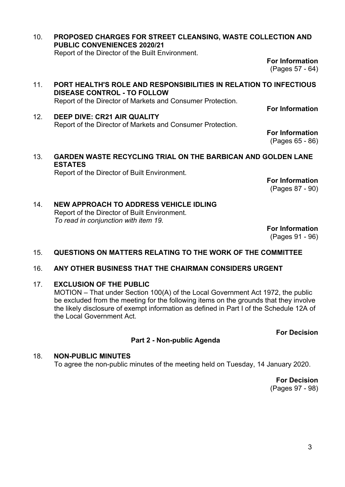10. **PROPOSED CHARGES FOR STREET CLEANSING, WASTE COLLECTION AND PUBLIC CONVENIENCES 2020/21** Report of the Director of the Built Environment.

> **For Information** (Pages 57 - 64)

- 11. **PORT HEALTH'S ROLE AND RESPONSIBILITIES IN RELATION TO INFECTIOUS DISEASE CONTROL - TO FOLLOW** Report of the Director of Markets and Consumer Protection.
- 12. **DEEP DIVE: CR21 AIR QUALITY** Report of the Director of Markets and Consumer Protection.

**For Information** (Pages 65 - 86)

**For Information**

#### 13. **GARDEN WASTE RECYCLING TRIAL ON THE BARBICAN AND GOLDEN LANE ESTATES**

Report of the Director of Built Environment.

**For Information** (Pages 87 - 90)

#### 14. **NEW APPROACH TO ADDRESS VEHICLE IDLING** Report of the Director of Built Environment. *To read in conjunction with item 19.*

**For Information**

(Pages 91 - 96)

#### 15. **QUESTIONS ON MATTERS RELATING TO THE WORK OF THE COMMITTEE**

#### 16. **ANY OTHER BUSINESS THAT THE CHAIRMAN CONSIDERS URGENT**

#### 17. **EXCLUSION OF THE PUBLIC**

MOTION – That under Section 100(A) of the Local Government Act 1972, the public be excluded from the meeting for the following items on the grounds that they involve the likely disclosure of exempt information as defined in Part I of the Schedule 12A of the Local Government Act.

**For Decision**

#### **Part 2 - Non-public Agenda**

#### 18. **NON-PUBLIC MINUTES**

To agree the non-public minutes of the meeting held on Tuesday, 14 January 2020.

**For Decision** (Pages 97 - 98)